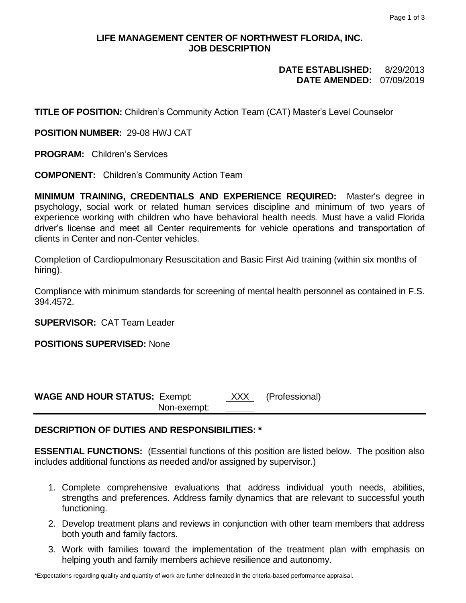# **LIFE MANAGEMENT CENTER OF NORTHWEST FLORIDA, INC. JOB DESCRIPTION**

#### **DATE ESTABLISHED:** 8/29/2013 **DATE AMENDED:** 07/09/2019

**TITLE OF POSITION:** Children's Community Action Team (CAT) Master's Level Counselor

**POSITION NUMBER:** 29-08 HWJ CAT

**PROGRAM:** Children's Services

**COMPONENT:** Children's Community Action Team

**MINIMUM TRAINING, CREDENTIALS AND EXPERIENCE REQUIRED:** Master's degree in psychology, social work or related human services discipline and minimum of two years of experience working with children who have behavioral health needs. Must have a valid Florida driver's license and meet all Center requirements for vehicle operations and transportation of clients in Center and non-Center vehicles.

Completion of Cardiopulmonary Resuscitation and Basic First Aid training (within six months of hiring).

Compliance with minimum standards for screening of mental health personnel as contained in F.S. 394.4572.

**SUPERVISOR:** CAT Team Leader

**POSITIONS SUPERVISED:** None

**WAGE AND HOUR STATUS:** Exempt: XXX (Professional) Non-exempt:

### **DESCRIPTION OF DUTIES AND RESPONSIBILITIES: \***

**ESSENTIAL FUNCTIONS:** (Essential functions of this position are listed below. The position also includes additional functions as needed and/or assigned by supervisor.)

- 1. Complete comprehensive evaluations that address individual youth needs, abilities, strengths and preferences. Address family dynamics that are relevant to successful youth functioning.
- 2. Develop treatment plans and reviews in conjunction with other team members that address both youth and family factors.
- 3. Work with families toward the implementation of the treatment plan with emphasis on helping youth and family members achieve resilience and autonomy.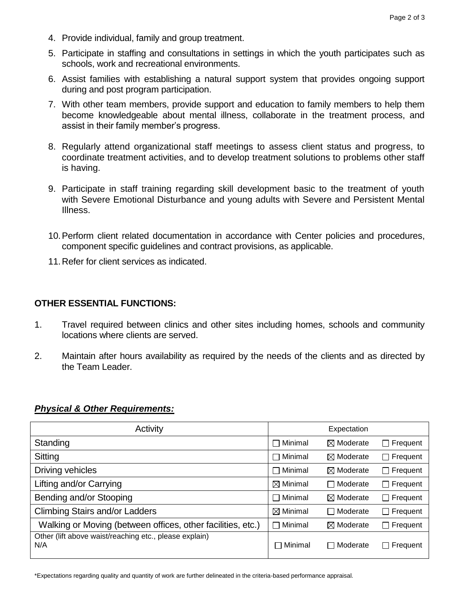- 4. Provide individual, family and group treatment.
- 5. Participate in staffing and consultations in settings in which the youth participates such as schools, work and recreational environments.
- 6. Assist families with establishing a natural support system that provides ongoing support during and post program participation.
- 7. With other team members, provide support and education to family members to help them become knowledgeable about mental illness, collaborate in the treatment process, and assist in their family member's progress.
- 8. Regularly attend organizational staff meetings to assess client status and progress, to coordinate treatment activities, and to develop treatment solutions to problems other staff is having.
- 9. Participate in staff training regarding skill development basic to the treatment of youth with Severe Emotional Disturbance and young adults with Severe and Persistent Mental Illness.
- 10.Perform client related documentation in accordance with Center policies and procedures, component specific guidelines and contract provisions, as applicable.
- 11.Refer for client services as indicated.

# **OTHER ESSENTIAL FUNCTIONS:**

- 1. Travel required between clinics and other sites including homes, schools and community locations where clients are served.
- 2. Maintain after hours availability as required by the needs of the clients and as directed by the Team Leader.

### *Physical & Other Requirements:*

| Activity                                                      |                     | Expectation          |                 |
|---------------------------------------------------------------|---------------------|----------------------|-----------------|
| Standing                                                      | $\Box$ Minimal      | $\boxtimes$ Moderate | $\Box$ Frequent |
| Sitting                                                       | $\Box$ Minimal      | $\boxtimes$ Moderate | $\Box$ Frequent |
| Driving vehicles                                              | $\Box$ Minimal      | $\boxtimes$ Moderate | $\Box$ Frequent |
| Lifting and/or Carrying                                       | $\boxtimes$ Minimal | Moderate<br>$\Box$   | $\Box$ Frequent |
| Bending and/or Stooping                                       | $\Box$ Minimal      | $\boxtimes$ Moderate | $\Box$ Frequent |
| <b>Climbing Stairs and/or Ladders</b>                         | $\boxtimes$ Minimal | □ Moderate           | $\Box$ Frequent |
| Walking or Moving (between offices, other facilities, etc.)   | $\Box$ Minimal      | $\boxtimes$ Moderate | $\Box$ Frequent |
| Other (lift above waist/reaching etc., please explain)<br>N/A | Minimal<br>$\Box$   | □ Moderate           | $\Box$ Frequent |

\*Expectations regarding quality and quantity of work are further delineated in the criteria-based performance appraisal.